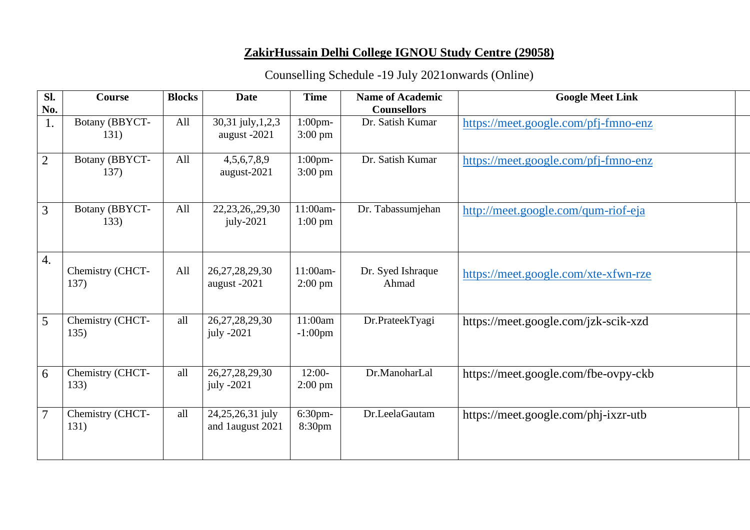## **ZakirHussain Delhi College IGNOU Study Centre (29058)**

## Counselling Schedule -19 July 2021onwards (Online)

| Sl.            | <b>Course</b>            | <b>Blocks</b> | <b>Date</b>                          | <b>Time</b>                     | <b>Name of Academic</b>    | <b>Google Meet Link</b>              |
|----------------|--------------------------|---------------|--------------------------------------|---------------------------------|----------------------------|--------------------------------------|
| No.            |                          |               |                                      |                                 | <b>Counsellors</b>         |                                      |
| 1.             | Botany (BBYCT-<br>131)   | All           | 30,31 july, 1,2,3<br>august -2021    | $1:00$ pm-<br>$3:00 \text{ pm}$ | Dr. Satish Kumar           | https://meet.google.com/pfj-fmno-enz |
| $\overline{2}$ | Botany (BBYCT-<br>137)   | All           | 4, 5, 6, 7, 8, 9<br>august-2021      | $1:00$ pm-<br>$3:00 \text{ pm}$ | Dr. Satish Kumar           | https://meet.google.com/pfj-fmno-enz |
| 3              | Botany (BBYCT-<br>133)   | All           | 22, 23, 26, 29, 30<br>$july-2021$    | 11:00am-<br>$1:00$ pm           | Dr. Tabassumjehan          | http://meet.google.com/qum-riof-eja  |
| 4.             | Chemistry (CHCT-<br>137) | All           | 26, 27, 28, 29, 30<br>august -2021   | 11:00am-<br>$2:00 \text{ pm}$   | Dr. Syed Ishraque<br>Ahmad | https://meet.google.com/xte-xfwn-rze |
| 5              | Chemistry (CHCT-<br>135) | all           | 26, 27, 28, 29, 30<br>july -2021     | 11:00am<br>$-1:00$ pm           | Dr.PrateekTyagi            | https://meet.google.com/jzk-scik-xzd |
| 6              | Chemistry (CHCT-<br>133) | all           | 26, 27, 28, 29, 30<br>july -2021     | $12:00-$<br>$2:00 \text{ pm}$   | Dr.ManoharLal              | https://meet.google.com/fbe-ovpy-ckb |
| 7              | Chemistry (CHCT-<br>131) | all           | 24,25,26,31 july<br>and 1august 2021 | $6:30$ pm-<br>8:30pm            | Dr.LeelaGautam             | https://meet.google.com/phj-ixzr-utb |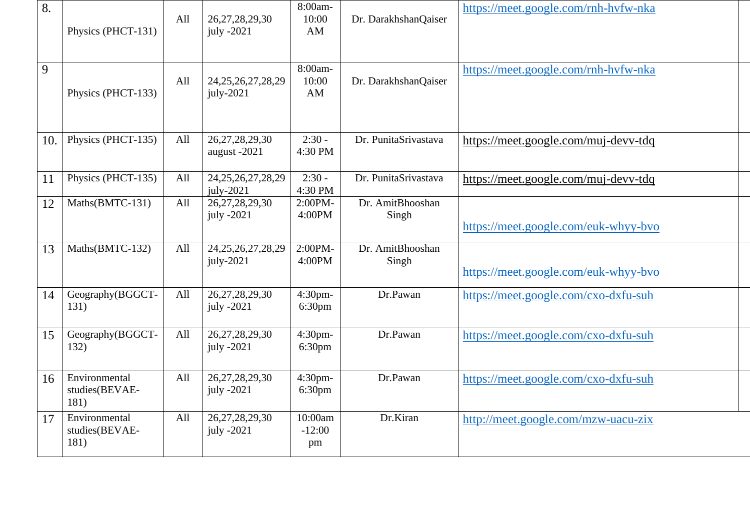| 8.  | Physics (PHCT-131)                      | All | 26, 27, 28, 29, 30<br>july -2021      | 8:00am-<br>10:00<br>AM        | Dr. DarakhshanQaiser      | https://meet.google.com/rnh-hvfw-nka |
|-----|-----------------------------------------|-----|---------------------------------------|-------------------------------|---------------------------|--------------------------------------|
| 9   | Physics (PHCT-133)                      | All | 24, 25, 26, 27, 28, 29<br>$july-2021$ | 8:00am-<br>10:00<br>AM        | Dr. DarakhshanQaiser      | https://meet.google.com/rnh-hvfw-nka |
| 10. | Physics (PHCT-135)                      | All | 26, 27, 28, 29, 30<br>august -2021    | $2:30 -$<br>4:30 PM           | Dr. PunitaSrivastava      | https://meet.google.com/muj-devv-tdq |
| 11  | Physics (PHCT-135)                      | All | 24, 25, 26, 27, 28, 29<br>july-2021   | $2:30 -$<br>4:30 PM           | Dr. PunitaSrivastava      | https://meet.google.com/muj-devv-tdq |
| 12  | Maths(BMTC-131)                         | All | 26, 27, 28, 29, 30<br>july -2021      | 2:00PM-<br>4:00PM             | Dr. AmitBhooshan<br>Singh | https://meet.google.com/euk-whyy-bvo |
| 13  | Maths(BMTC-132)                         | All | 24, 25, 26, 27, 28, 29<br>$july-2021$ | 2:00PM-<br>4:00PM             | Dr. AmitBhooshan<br>Singh | https://meet.google.com/euk-whyy-bvo |
| 14  | Geography(BGGCT-<br>131)                | All | 26, 27, 28, 29, 30<br>july -2021      | 4:30pm-<br>6:30 <sub>pm</sub> | Dr.Pawan                  | https://meet.google.com/cxo-dxfu-suh |
| 15  | Geography(BGGCT-<br>132)                | All | 26, 27, 28, 29, 30<br>july -2021      | 4:30pm-<br>6:30pm             | Dr.Pawan                  | https://meet.google.com/cxo-dxfu-suh |
| 16  | Environmental<br>studies(BEVAE-<br>181) | All | 26, 27, 28, 29, 30<br>july -2021      | 4:30pm-<br>6:30 <sub>pm</sub> | Dr.Pawan                  | https://meet.google.com/cxo-dxfu-suh |
| 17  | Environmental<br>studies(BEVAE-<br>181) | All | 26, 27, 28, 29, 30<br>july $-2021$    | 10:00am<br>$-12:00$<br>pm     | Dr.Kiran                  | http://meet.google.com/mzw-uacu-zix  |